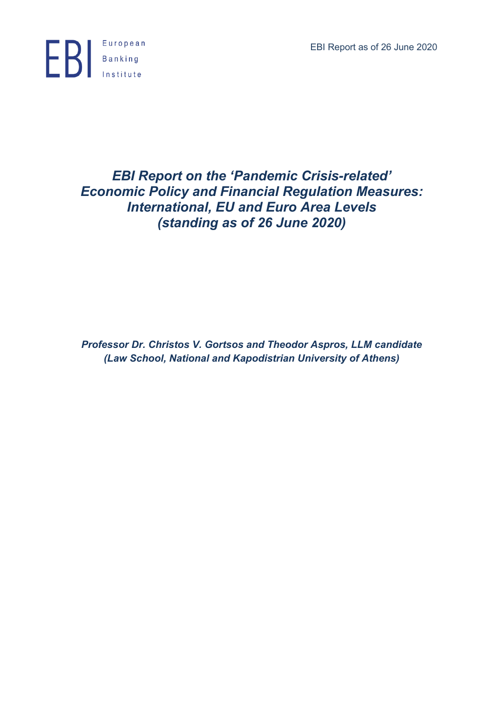EBI Report as of 26 June 2020



# *EBI Report on the 'Pandemic Crisis-related' Economic Policy and Financial Regulation Measures: International, EU and Euro Area Levels (standing as of 26 June 2020)*

*Professor Dr. Christos V. Gortsos and Theodor Aspros, LLM candidate (Law School, National and Kapodistrian University of Athens)*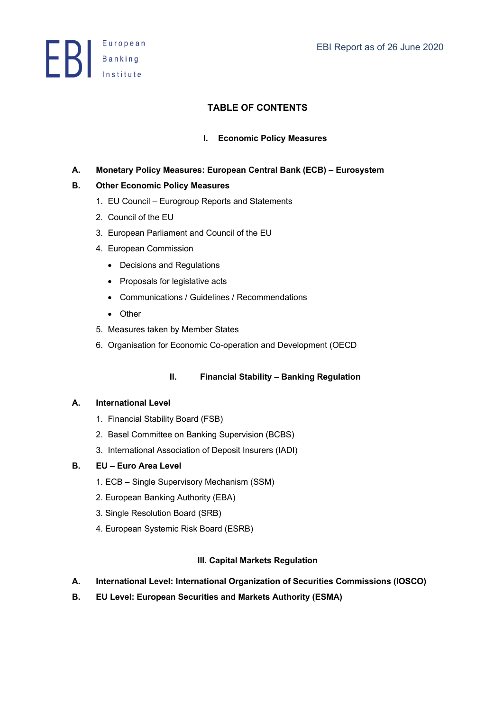**ED** Banking

# **TABLE OF CONTENTS**

# **I. Economic Policy Measures**

# **A. Monetary Policy Measures: European Central Bank (ECB) – Eurosystem**

# **B. Other Economic Policy Measures**

- 1. EU Council Eurogroup Reports and Statements
- 2. Council of the EU
- 3. European Parliament and Council of the EU
- 4. European Commission
	- Decisions and Regulations
	- Proposals for legislative acts
	- Communications / Guidelines / Recommendations
	- Other
- 5. Measures taken by Member States
- 6. Organisation for Economic Co-operation and Development (OECD

# **II. Financial Stability – Banking Regulation**

## **A. International Level**

- 1. Financial Stability Board (FSB)
- 2. Basel Committee on Banking Supervision (BCBS)
- 3. International Association of Deposit Insurers (IADI)

## **B. EU – Euro Area Level**

- 1. ECB Single Supervisory Mechanism (SSM)
- 2. European Banking Authority (EBA)
- 3. Single Resolution Board (SRB)
- 4. European Systemic Risk Board (ESRB)

## **III. Capital Markets Regulation**

- **A. International Level: International Organization of Securities Commissions (IOSCO)**
- **B. EU Level: European Securities and Markets Authority (ESMA)**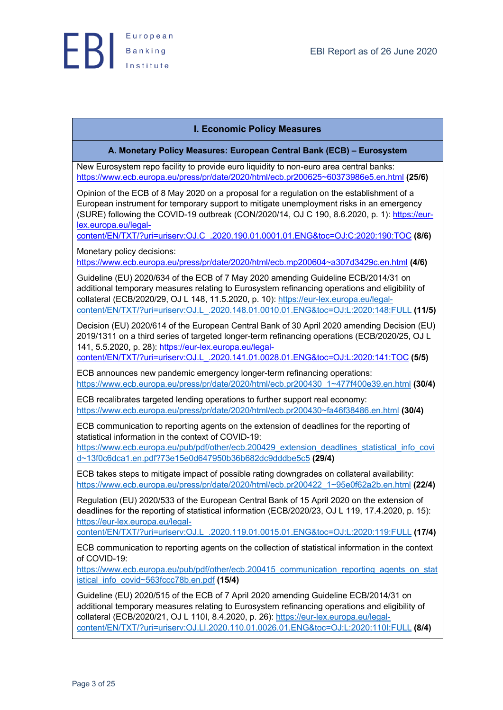

# **I. Economic Policy Measures**

**A. Monetary Policy Measures: European Central Bank (ECB) – Eurosystem**

New Eurosystem repo facility to provide euro liquidity to non-euro area central banks: https://www.ecb.europa.eu/press/pr/date/2020/html/ecb.pr200625~60373986e5.en.html **(25/6)**

Opinion of the ECB of 8 May 2020 on a proposal for a regulation on the establishment of a European instrument for temporary support to mitigate unemployment risks in an emergency (SURE) following the COVID-19 outbreak (CON/2020/14, OJ C 190, 8.6.2020, p. 1): https://eurlex.europa.eu/legal-

content/EN/TXT/?uri=uriserv:OJ.C\_.2020.190.01.0001.01.ENG&toc=OJ:C:2020:190:TOC **(8/6)**

Monetary policy decisions:

https://www.ecb.europa.eu/press/pr/date/2020/html/ecb.mp200604~a307d3429c.en.html **(4/6)**

Guideline (EU) 2020/634 of the ECB of 7 May 2020 amending Guideline ECB/2014/31 on additional temporary measures relating to Eurosystem refinancing operations and eligibility of collateral (ECB/2020/29, OJ L 148, 11.5.2020, p. 10): https://eur-lex.europa.eu/legalcontent/EN/TXT/?uri=uriserv:OJ.L\_.2020.148.01.0010.01.ENG&toc=OJ:L:2020:148:FULL **(11/5)**

Decision (EU) 2020/614 of the European Central Bank of 30 April 2020 amending Decision (EU) 2019/1311 on a third series of targeted longer-term refinancing operations (ECB/2020/25, OJ L 141, 5.5.2020, p. 28): https://eur-lex.europa.eu/legal-

content/EN/TXT/?uri=uriserv:OJ.L\_.2020.141.01.0028.01.ENG&toc=OJ:L:2020:141:TOC **(5/5)**

ECB announces new pandemic emergency longer-term refinancing operations: https://www.ecb.europa.eu/press/pr/date/2020/html/ecb.pr200430\_1~477f400e39.en.html **(30/4)**

ECB recalibrates targeted lending operations to further support real economy: https://www.ecb.europa.eu/press/pr/date/2020/html/ecb.pr200430~fa46f38486.en.html **(30/4)**

ECB communication to reporting agents on the extension of deadlines for the reporting of statistical information in the context of COVID-19:

https://www.ecb.europa.eu/pub/pdf/other/ecb.200429\_extension\_deadlines\_statistical\_info\_covi d~13f0c6dca1.en.pdf?73e15e0d647950b36b682dc9dddbe5c5 **(29/4)**

ECB takes steps to mitigate impact of possible rating downgrades on collateral availability: https://www.ecb.europa.eu/press/pr/date/2020/html/ecb.pr200422\_1~95e0f62a2b.en.html **(22/4)**

Regulation (EU) 2020/533 of the European Central Bank of 15 April 2020 on the extension of deadlines for the reporting of statistical information (ECB/2020/23, OJ L 119, 17.4.2020, p. 15): https://eur-lex.europa.eu/legal-

content/EN/TXT/?uri=uriserv:OJ.L\_.2020.119.01.0015.01.ENG&toc=OJ:L:2020:119:FULL **(17/4)**

ECB communication to reporting agents on the collection of statistical information in the context of COVID-19:

https://www.ecb.europa.eu/pub/pdf/other/ecb.200415\_communication\_reporting\_agents\_on\_stat istical\_info\_covid~563fccc78b.en.pdf **(15/4)**

Guideline (EU) 2020/515 of the ECB of 7 April 2020 amending Guideline ECB/2014/31 on additional temporary measures relating to Eurosystem refinancing operations and eligibility of collateral (ECB/2020/21, OJ L 110I, 8.4.2020, p. 26): https://eur-lex.europa.eu/legalcontent/EN/TXT/?uri=uriserv:OJ.LI.2020.110.01.0026.01.ENG&toc=OJ:L:2020:110I:FULL **(8/4)**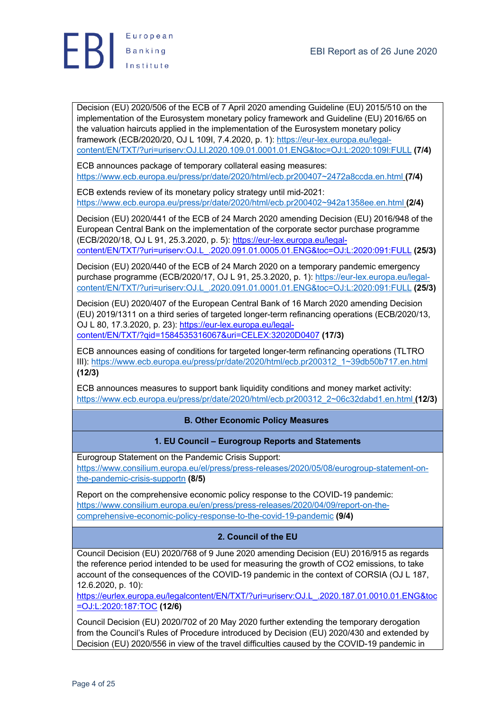



Decision (EU) 2020/506 of the ECB of 7 April 2020 amending Guideline (EU) 2015/510 on the implementation of the Eurosystem monetary policy framework and Guideline (EU) 2016/65 on the valuation haircuts applied in the implementation of the Eurosystem monetary policy framework (ECB/2020/20, OJ L 109I, 7.4.2020, p. 1): https://eur-lex.europa.eu/legalcontent/EN/TXT/?uri=uriserv:OJ.LI.2020.109.01.0001.01.ENG&toc=OJ:L:2020:109I:FULL **(7/4)**

ECB announces package of temporary collateral easing measures: https://www.ecb.europa.eu/press/pr/date/2020/html/ecb.pr200407~2472a8ccda.en.html **(7/4)**

ECB extends review of its monetary policy strategy until mid-2021: https://www.ecb.europa.eu/press/pr/date/2020/html/ecb.pr200402~942a1358ee.en.html **(2/4)**

Decision (EU) 2020/441 of the ECB of 24 March 2020 amending Decision (EU) 2016/948 of the European Central Bank on the implementation of the corporate sector purchase programme (ECB/2020/18, OJ L 91, 25.3.2020, p. 5): https://eur-lex.europa.eu/legalcontent/EN/TXT/?uri=uriserv:OJ.L\_.2020.091.01.0005.01.ENG&toc=OJ:L:2020:091:FULL **(25/3)**

Decision (EU) 2020/440 of the ECB of 24 March 2020 on a temporary pandemic emergency purchase programme (ECB/2020/17, OJ L 91, 25.3.2020, p. 1): https://eur-lex.europa.eu/legalcontent/EN/TXT/?uri=uriserv:OJ.L\_.2020.091.01.0001.01.ENG&toc=OJ:L:2020:091:FULL **(25/3)**

Decision (EU) 2020/407 of the European Central Bank of 16 March 2020 amending Decision (EU) 2019/1311 on a third series of targeted longer-term refinancing operations (ECB/2020/13, OJ L 80, 17.3.2020, p. 23): https://eur-lex.europa.eu/legalcontent/EN/TXT/?qid=1584535316067&uri=CELEX:32020D0407 **(17/3)**

ECB announces easing of conditions for targeted longer-term refinancing operations (TLTRO III): https://www.ecb.europa.eu/press/pr/date/2020/html/ecb.pr200312\_1~39db50b717.en.html **(12/3)**

ECB announces measures to support bank liquidity conditions and money market activity: https://www.ecb.europa.eu/press/pr/date/2020/html/ecb.pr200312\_2~06c32dabd1.en.html **(12/3)**

**B. Other Economic Policy Measures**

# **1. EU Council – Eurogroup Reports and Statements**

Eurogroup Statement on the Pandemic Crisis Support:

https://www.consilium.europa.eu/el/press/press-releases/2020/05/08/eurogroup-statement-onthe-pandemic-crisis-supportn **(8/5)**

Report on the comprehensive economic policy response to the COVID-19 pandemic: https://www.consilium.europa.eu/en/press/press-releases/2020/04/09/report-on-thecomprehensive-economic-policy-response-to-the-covid-19-pandemic **(9/4)**

# **2. Council of the EU**

Council Decision (EU) 2020/768 of 9 June 2020 amending Decision (EU) 2016/915 as regards the reference period intended to be used for measuring the growth of CO2 emissions, to take account of the consequences of the COVID-19 pandemic in the context of CORSIA (OJ L 187, 12.6.2020, p. 10):

https://eurlex.europa.eu/legalcontent/EN/TXT/?uri=uriserv:OJ.L\_.2020.187.01.0010.01.ENG&toc =OJ:L:2020:187:TOC **(12/6)**

Council Decision (EU) 2020/702 of 20 May 2020 further extending the temporary derogation from the Council's Rules of Procedure introduced by Decision (EU) 2020/430 and extended by Decision (EU) 2020/556 in view of the travel difficulties caused by the COVID-19 pandemic in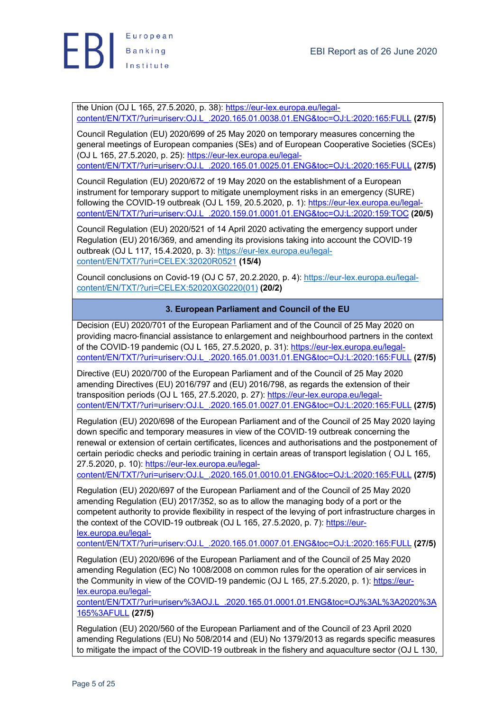the Union (OJ L 165, 27.5.2020, p. 38): https://eur-lex.europa.eu/legalcontent/EN/TXT/?uri=uriserv:OJ.L\_.2020.165.01.0038.01.ENG&toc=OJ:L:2020:165:FULL **(27/5)**

Council Regulation (EU) 2020/699 of 25 May 2020 on temporary measures concerning the general meetings of European companies (SEs) and of European Cooperative Societies (SCEs) (OJ L 165, 27.5.2020, p. 25): https://eur-lex.europa.eu/legalcontent/EN/TXT/?uri=uriserv:OJ.L\_.2020.165.01.0025.01.ENG&toc=OJ:L:2020:165:FULL **(27/5)**

Council Regulation (EU) 2020/672 of 19 May 2020 on the establishment of a European instrument for temporary support to mitigate unemployment risks in an emergency (SURE) following the COVID-19 outbreak (OJ L 159, 20.5.2020, p. 1): https://eur-lex.europa.eu/legalcontent/EN/TXT/?uri=uriserv:OJ.L\_.2020.159.01.0001.01.ENG&toc=OJ:L:2020:159:TOC **(20/5)**

Council Regulation (EU) 2020/521 of 14 April 2020 activating the emergency support under Regulation (EU) 2016/369, and amending its provisions taking into account the COVID-19 outbreak (OJ L 117, 15.4.2020, p. 3): https://eur-lex.europa.eu/legalcontent/EN/TXT/?uri=CELEX:32020R0521 **(15/4)**

Council conclusions on Covid-19 (OJ C 57, 20.2.2020, p. 4): https://eur-lex.europa.eu/legalcontent/EN/TXT/?uri=CELEX:52020XG0220(01) **(20/2)**

# **3. European Parliament and Council of the EU**

Decision (EU) 2020/701 of the European Parliament and of the Council of 25 May 2020 on providing macro-financial assistance to enlargement and neighbourhood partners in the context of the COVID-19 pandemic (OJ L 165, 27.5.2020, p. 31): https://eur-lex.europa.eu/legalcontent/EN/TXT/?uri=uriserv:OJ.L\_.2020.165.01.0031.01.ENG&toc=OJ:L:2020:165:FULL **(27/5)**

Directive (EU) 2020/700 of the European Parliament and of the Council of 25 May 2020 amending Directives (EU) 2016/797 and (EU) 2016/798, as regards the extension of their transposition periods (OJ L 165, 27.5.2020, p. 27): https://eur-lex.europa.eu/legalcontent/EN/TXT/?uri=uriserv:OJ.L\_.2020.165.01.0027.01.ENG&toc=OJ:L:2020:165:FULL **(27/5)**

Regulation (EU) 2020/698 of the European Parliament and of the Council of 25 May 2020 laying down specific and temporary measures in view of the COVID-19 outbreak concerning the renewal or extension of certain certificates, licences and authorisations and the postponement of certain periodic checks and periodic training in certain areas of transport legislation ( OJ L 165, 27.5.2020, p. 10): https://eur-lex.europa.eu/legal-

content/EN/TXT/?uri=uriserv:OJ.L\_.2020.165.01.0010.01.ENG&toc=OJ:L:2020:165:FULL **(27/5)**

Regulation (EU) 2020/697 of the European Parliament and of the Council of 25 May 2020 amending Regulation (EU) 2017/352, so as to allow the managing body of a port or the competent authority to provide flexibility in respect of the levying of port infrastructure charges in the context of the COVID-19 outbreak (OJ L 165, 27.5.2020, p. 7): https://eurlex.europa.eu/legal-

content/EN/TXT/?uri=uriserv:OJ.L\_.2020.165.01.0007.01.ENG&toc=OJ:L:2020:165:FULL **(27/5)**

Regulation (EU) 2020/696 of the European Parliament and of the Council of 25 May 2020 amending Regulation (EC) No 1008/2008 on common rules for the operation of air services in the Community in view of the COVID-19 pandemic (OJ L 165, 27.5.2020, p. 1): https://eurlex.europa.eu/legal-

content/EN/TXT/?uri=uriserv%3AOJ.L\_.2020.165.01.0001.01.ENG&toc=OJ%3AL%3A2020%3A 165%3AFULL **(27/5)**

Regulation (EU) 2020/560 of the European Parliament and of the Council of 23 April 2020 amending Regulations (EU) No 508/2014 and (EU) No 1379/2013 as regards specific measures to mitigate the impact of the COVID-19 outbreak in the fishery and aquaculture sector (OJ L 130,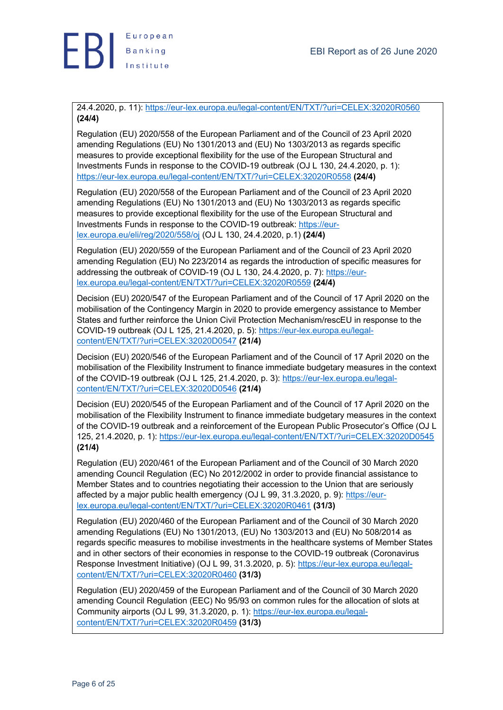

24.4.2020, p. 11): https://eur-lex.europa.eu/legal-content/EN/TXT/?uri=CELEX:32020R0560 **(24/4)**

Regulation (EU) 2020/558 of the European Parliament and of the Council of 23 April 2020 amending Regulations (EU) No 1301/2013 and (EU) No 1303/2013 as regards specific measures to provide exceptional flexibility for the use of the European Structural and Investments Funds in response to the COVID-19 outbreak (OJ L 130, 24.4.2020, p. 1): https://eur-lex.europa.eu/legal-content/EN/TXT/?uri=CELEX:32020R0558 **(24/4)**

Regulation (EU) 2020/558 of the European Parliament and of the Council of 23 April 2020 amending Regulations (EU) No 1301/2013 and (EU) No 1303/2013 as regards specific measures to provide exceptional flexibility for the use of the European Structural and Investments Funds in response to the COVID-19 outbreak: https://eurlex.europa.eu/eli/reg/2020/558/oj (OJ L 130, 24.4.2020, p.1) **(24/4)**

Regulation (EU) 2020/559 of the European Parliament and of the Council of 23 April 2020 amending Regulation (EU) No 223/2014 as regards the introduction of specific measures for addressing the outbreak of COVID-19 (OJ L 130, 24.4.2020, p. 7): https://eurlex.europa.eu/legal-content/EN/TXT/?uri=CELEX:32020R0559 **(24/4)**

Decision (EU) 2020/547 of the European Parliament and of the Council of 17 April 2020 on the mobilisation of the Contingency Margin in 2020 to provide emergency assistance to Member States and further reinforce the Union Civil Protection Mechanism/rescEU in response to the COVID-19 outbreak (OJ L 125, 21.4.2020, p. 5): https://eur-lex.europa.eu/legalcontent/EN/TXT/?uri=CELEX:32020D0547 **(21/4)**

Decision (EU) 2020/546 of the European Parliament and of the Council of 17 April 2020 on the mobilisation of the Flexibility Instrument to finance immediate budgetary measures in the context of the COVID-19 outbreak (OJ L 125, 21.4.2020, p. 3): https://eur-lex.europa.eu/legalcontent/EN/TXT/?uri=CELEX:32020D0546 **(21/4)**

Decision (EU) 2020/545 of the European Parliament and of the Council of 17 April 2020 on the mobilisation of the Flexibility Instrument to finance immediate budgetary measures in the context of the COVID-19 outbreak and a reinforcement of the European Public Prosecutor's Office (OJ L 125, 21.4.2020, p. 1): https://eur-lex.europa.eu/legal-content/EN/TXT/?uri=CELEX:32020D0545 **(21/4)**

Regulation (EU) 2020/461 of the European Parliament and of the Council of 30 March 2020 amending Council Regulation (EC) No 2012/2002 in order to provide financial assistance to Member States and to countries negotiating their accession to the Union that are seriously affected by a major public health emergency (OJ L 99, 31.3.2020, p. 9): https://eurlex.europa.eu/legal-content/EN/TXT/?uri=CELEX:32020R0461 **(31/3)**

Regulation (EU) 2020/460 of the European Parliament and of the Council of 30 March 2020 amending Regulations (EU) No 1301/2013, (EU) No 1303/2013 and (EU) No 508/2014 as regards specific measures to mobilise investments in the healthcare systems of Member States and in other sectors of their economies in response to the COVID-19 outbreak (Coronavirus Response Investment Initiative) (OJ L 99, 31.3.2020, p. 5): https://eur-lex.europa.eu/legalcontent/EN/TXT/?uri=CELEX:32020R0460 **(31/3)**

Regulation (EU) 2020/459 of the European Parliament and of the Council of 30 March 2020 amending Council Regulation (EEC) No 95/93 on common rules for the allocation of slots at Community airports (OJ L 99, 31.3.2020, p. 1): https://eur-lex.europa.eu/legalcontent/EN/TXT/?uri=CELEX:32020R0459 **(31/3)**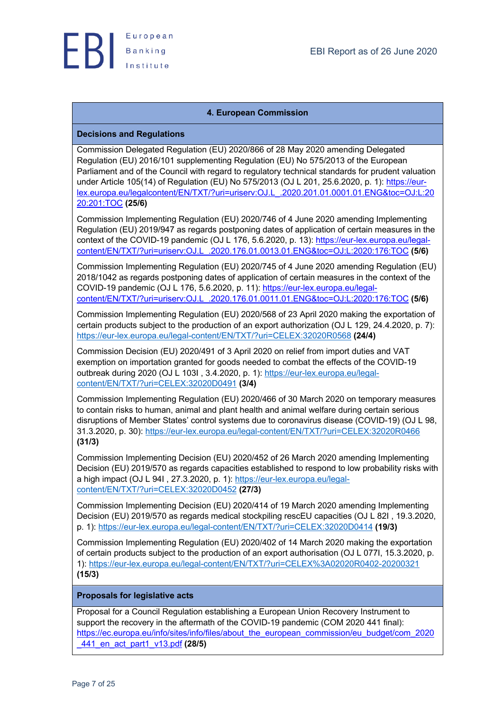

## **4. European Commission**

## **Decisions and Regulations**

Commission Delegated Regulation (EU) 2020/866 of 28 May 2020 amending Delegated Regulation (EU) 2016/101 supplementing Regulation (EU) No 575/2013 of the European Parliament and of the Council with regard to regulatory technical standards for prudent valuation under Article 105(14) of Regulation (EU) No 575/2013 (OJ L 201, 25.6.2020, p. 1): https://eurlex.europa.eu/legalcontent/EN/TXT/?uri=uriserv:OJ.L\_.2020.201.01.0001.01.ENG&toc=OJ:L:20 20:201:TOC **(25/6)**

Commission Implementing Regulation (EU) 2020/746 of 4 June 2020 amending Implementing Regulation (EU) 2019/947 as regards postponing dates of application of certain measures in the context of the COVID-19 pandemic (OJ L 176, 5.6.2020, p. 13): https://eur-lex.europa.eu/legalcontent/EN/TXT/?uri=uriserv:OJ.L\_.2020.176.01.0013.01.ENG&toc=OJ:L:2020:176:TOC **(5/6)**

Commission Implementing Regulation (EU) 2020/745 of 4 June 2020 amending Regulation (EU) 2018/1042 as regards postponing dates of application of certain measures in the context of the COVID-19 pandemic (OJ L 176, 5.6.2020, p. 11): https://eur-lex.europa.eu/legalcontent/EN/TXT/?uri=uriserv:OJ.L\_.2020.176.01.0011.01.ENG&toc=OJ:L:2020:176:TOC **(5/6)**

Commission Implementing Regulation (EU) 2020/568 of 23 April 2020 making the exportation of certain products subject to the production of an export authorization (OJ L 129, 24.4.2020, p. 7): https://eur-lex.europa.eu/legal-content/EN/TXT/?uri=CELEX:32020R0568 **(24/4)**

Commission Decision (EU) 2020/491 of 3 April 2020 on relief from import duties and VAT exemption on importation granted for goods needed to combat the effects of the COVID-19 outbreak during 2020 (OJ L 103I , 3.4.2020, p. 1): https://eur-lex.europa.eu/legalcontent/EN/TXT/?uri=CELEX:32020D0491 **(3/4)**

Commission Implementing Regulation (EU) 2020/466 of 30 March 2020 on temporary measures to contain risks to human, animal and plant health and animal welfare during certain serious disruptions of Member States' control systems due to coronavirus disease (COVID-19) (OJ L 98, 31.3.2020, p. 30): https://eur-lex.europa.eu/legal-content/EN/TXT/?uri=CELEX:32020R0466 **(31/3)**

Commission Implementing Decision (EU) 2020/452 of 26 March 2020 amending Implementing Decision (EU) 2019/570 as regards capacities established to respond to low probability risks with a high impact (OJ L 94I , 27.3.2020, p. 1): https://eur-lex.europa.eu/legalcontent/EN/TXT/?uri=CELEX:32020D0452 **(27/3)**

Commission Implementing Decision (EU) 2020/414 of 19 March 2020 amending Implementing Decision (EU) 2019/570 as regards medical stockpiling rescEU capacities (OJ L 82I , 19.3.2020, p. 1): https://eur-lex.europa.eu/legal-content/EN/TXT/?uri=CELEX:32020D0414 **(19/3)**

Commission Implementing Regulation (EU) 2020/402 of 14 March 2020 making the exportation of certain products subject to the production of an export authorisation (OJ L 077I, 15.3.2020, p. 1): https://eur-lex.europa.eu/legal-content/EN/TXT/?uri=CELEX%3A02020R0402-20200321 **(15/3)**

## **Proposals for legislative acts**

Proposal for a Council Regulation establishing a European Union Recovery Instrument to support the recovery in the aftermath of the COVID-19 pandemic (COM 2020 441 final): https://ec.europa.eu/info/sites/info/files/about\_the\_european\_commission/eu\_budget/com\_2020 \_441\_en\_act\_part1\_v13.pdf **(28/5)**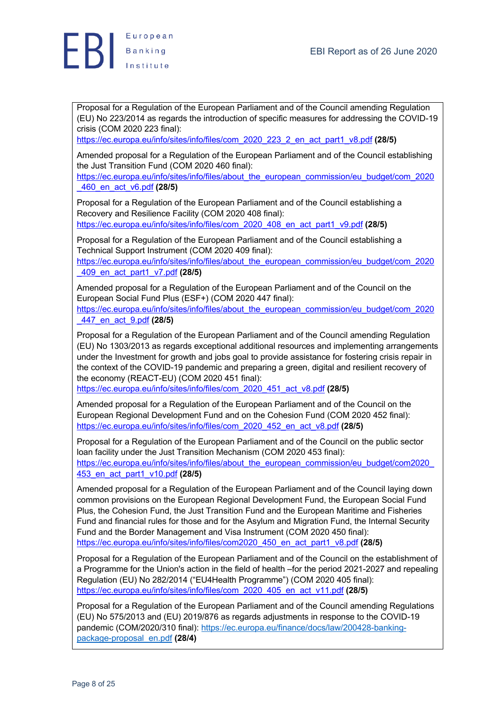

Proposal for a Regulation of the European Parliament and of the Council amending Regulation (EU) No 223/2014 as regards the introduction of specific measures for addressing the COVID-19 crisis (COM 2020 223 final):

https://ec.europa.eu/info/sites/info/files/com\_2020\_223\_2\_en\_act\_part1\_v8.pdf **(28/5)**

Amended proposal for a Regulation of the European Parliament and of the Council establishing the Just Transition Fund (COM 2020 460 final):

https://ec.europa.eu/info/sites/info/files/about\_the\_european\_commission/eu\_budget/com\_2020 \_460\_en\_act\_v6.pdf **(28/5)**

Proposal for a Regulation of the European Parliament and of the Council establishing a Recovery and Resilience Facility (COM 2020 408 final): https://ec.europa.eu/info/sites/info/files/com\_2020\_408\_en\_act\_part1\_v9.pdf **(28/5)**

Proposal for a Regulation of the European Parliament and of the Council establishing a Technical Support Instrument (COM 2020 409 final):

https://ec.europa.eu/info/sites/info/files/about\_the\_european\_commission/eu\_budget/com\_2020 \_409\_en\_act\_part1\_v7.pdf **(28/5)**

Amended proposal for a Regulation of the European Parliament and of the Council on the European Social Fund Plus (ESF+) (COM 2020 447 final):

https://ec.europa.eu/info/sites/info/files/about\_the\_european\_commission/eu\_budget/com\_2020 \_447\_en\_act\_9.pdf **(28/5)**

Proposal for a Regulation of the European Parliament and of the Council amending Regulation (EU) No 1303/2013 as regards exceptional additional resources and implementing arrangements under the Investment for growth and jobs goal to provide assistance for fostering crisis repair in the context of the COVID-19 pandemic and preparing a green, digital and resilient recovery of the economy (REACT-EU) (COM 2020 451 final):

https://ec.europa.eu/info/sites/info/files/com\_2020\_451\_act\_v8.pdf **(28/5)**

Amended proposal for a Regulation of the European Parliament and of the Council on the European Regional Development Fund and on the Cohesion Fund (COM 2020 452 final): https://ec.europa.eu/info/sites/info/files/com\_2020\_452\_en\_act\_v8.pdf **(28/5)**

Proposal for a Regulation of the European Parliament and of the Council on the public sector loan facility under the Just Transition Mechanism (COM 2020 453 final): https://ec.europa.eu/info/sites/info/files/about\_the\_european\_commission/eu\_budget/com2020 453\_en\_act\_part1\_v10.pdf **(28/5)**

Amended proposal for a Regulation of the European Parliament and of the Council laying down common provisions on the European Regional Development Fund, the European Social Fund Plus, the Cohesion Fund, the Just Transition Fund and the European Maritime and Fisheries Fund and financial rules for those and for the Asylum and Migration Fund, the Internal Security Fund and the Border Management and Visa Instrument (COM 2020 450 final): https://ec.europa.eu/info/sites/info/files/com2020\_450\_en\_act\_part1\_v8.pdf **(28/5)**

Proposal for a Regulation of the European Parliament and of the Council on the establishment of a Programme for the Union's action in the field of health –for the period 2021-2027 and repealing Regulation (EU) No 282/2014 ("EU4Health Programme") (COM 2020 405 final): https://ec.europa.eu/info/sites/info/files/com\_2020\_405\_en\_act\_v11.pdf **(28/5)**

Proposal for a Regulation of the European Parliament and of the Council amending Regulations (EU) No 575/2013 and (EU) 2019/876 as regards adjustments in response to the COVID-19 pandemic (COM/2020/310 final): https://ec.europa.eu/finance/docs/law/200428-bankingpackage-proposal\_en.pdf **(28/4)**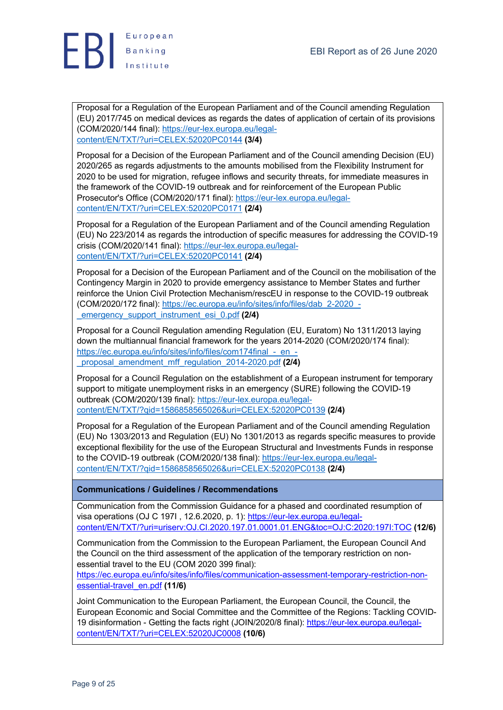

Proposal for a Regulation of the European Parliament and of the Council amending Regulation (EU) 2017/745 on medical devices as regards the dates of application of certain of its provisions (COM/2020/144 final): https://eur-lex.europa.eu/legalcontent/EN/TXT/?uri=CELEX:52020PC0144 **(3/4)**

Proposal for a Decision of the European Parliament and of the Council amending Decision (EU) 2020/265 as regards adjustments to the amounts mobilised from the Flexibility Instrument for 2020 to be used for migration, refugee inflows and security threats, for immediate measures in the framework of the COVID-19 outbreak and for reinforcement of the European Public Prosecutor's Office (COM/2020/171 final): https://eur-lex.europa.eu/legalcontent/EN/TXT/?uri=CELEX:52020PC0171 **(2/4)**

Proposal for a Regulation of the European Parliament and of the Council amending Regulation (EU) No 223/2014 as regards the introduction of specific measures for addressing the COVID-19 crisis (COM/2020/141 final): https://eur-lex.europa.eu/legalcontent/EN/TXT/?uri=CELEX:52020PC0141 **(2/4)**

Proposal for a Decision of the European Parliament and of the Council on the mobilisation of the Contingency Margin in 2020 to provide emergency assistance to Member States and further reinforce the Union Civil Protection Mechanism/rescEU in response to the COVID-19 outbreak (COM/2020/172 final): https://ec.europa.eu/info/sites/info/files/dab\_2-2020\_- \_emergency\_support\_instrument\_esi\_0.pdf **(2/4)**

Proposal for a Council Regulation amending Regulation (EU, Euratom) No 1311/2013 laying down the multiannual financial framework for the years 2014-2020 (COM/2020/174 final): https://ec.europa.eu/info/sites/info/files/com174final - en -\_proposal\_amendment\_mff\_regulation\_2014-2020.pdf **(2/4)**

Proposal for a Council Regulation on the establishment of a European instrument for temporary support to mitigate unemployment risks in an emergency (SURE) following the COVID-19 outbreak (COM/2020/139 final): https://eur-lex.europa.eu/legalcontent/EN/TXT/?qid=1586858565026&uri=CELEX:52020PC0139 **(2/4)**

Proposal for a Regulation of the European Parliament and of the Council amending Regulation (EU) No 1303/2013 and Regulation (EU) No 1301/2013 as regards specific measures to provide exceptional flexibility for the use of the European Structural and Investments Funds in response to the COVID-19 outbreak (COM/2020/138 final): https://eur-lex.europa.eu/legalcontent/EN/TXT/?qid=1586858565026&uri=CELEX:52020PC0138 **(2/4)**

## **Communications / Guidelines / Recommendations**

Communication from the Commission Guidance for a phased and coordinated resumption of visa operations (OJ C 197I, 12.6.2020, p. 1): https://eur-lex.europa.eu/legalcontent/EN/TXT/?uri=uriserv:OJ.CI.2020.197.01.0001.01.ENG&toc=OJ:C:2020:197I:TOC **(12/6)**

Communication from the Commission to the European Parliament, the European Council And the Council on the third assessment of the application of the temporary restriction on nonessential travel to the EU (COM 2020 399 final):

https://ec.europa.eu/info/sites/info/files/communication-assessment-temporary-restriction-nonessential-travel\_en.pdf **(11/6)**

Joint Communication to the European Parliament, the European Council, the Council, the European Economic and Social Committee and the Committee of the Regions: Tackling COVID-19 disinformation - Getting the facts right (JOIN/2020/8 final): https://eur-lex.europa.eu/legalcontent/EN/TXT/?uri=CELEX:52020JC0008 **(10/6)**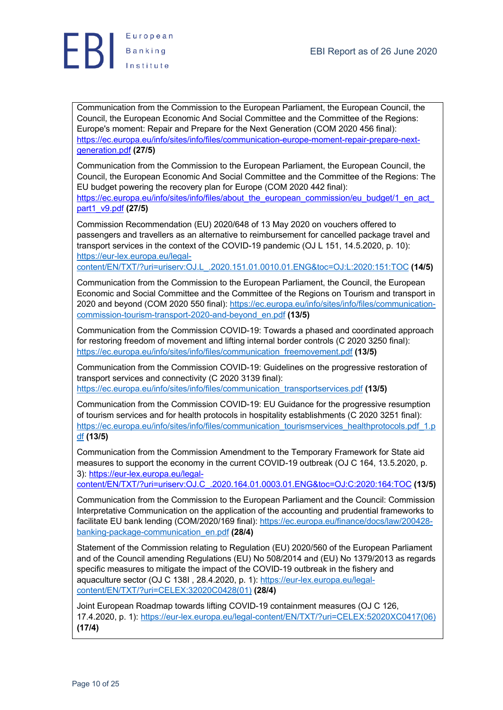

Communication from the Commission to the European Parliament, the European Council, the Council, the European Economic And Social Committee and the Committee of the Regions: Europe's moment: Repair and Prepare for the Next Generation (COM 2020 456 final): https://ec.europa.eu/info/sites/info/files/communication-europe-moment-repair-prepare-nextgeneration.pdf **(27/5)**

Communication from the Commission to the European Parliament, the European Council, the Council, the European Economic And Social Committee and the Committee of the Regions: The EU budget powering the recovery plan for Europe (COM 2020 442 final):

https://ec.europa.eu/info/sites/info/files/about\_the\_european\_commission/eu\_budget/1\_en\_act part1\_v9.pdf **(27/5)**

Commission Recommendation (EU) 2020/648 of 13 May 2020 on vouchers offered to passengers and travellers as an alternative to reimbursement for cancelled package travel and transport services in the context of the COVID-19 pandemic (OJ L 151, 14.5.2020, p. 10): https://eur-lex.europa.eu/legal-

content/EN/TXT/?uri=uriserv:OJ.L\_.2020.151.01.0010.01.ENG&toc=OJ:L:2020:151:TOC **(14/5)**

Communication from the Commission to the European Parliament, the Council, the European Economic and Social Committee and the Committee of the Regions on Tourism and transport in 2020 and beyond (COM 2020 550 final): https://ec.europa.eu/info/sites/info/files/communicationcommission-tourism-transport-2020-and-beyond\_en.pdf **(13/5)**

Communication from the Commission COVID-19: Towards a phased and coordinated approach for restoring freedom of movement and lifting internal border controls (C 2020 3250 final): https://ec.europa.eu/info/sites/info/files/communication\_freemovement.pdf **(13/5)**

Communication from the Commission COVID-19: Guidelines on the progressive restoration of transport services and connectivity (C 2020 3139 final): https://ec.europa.eu/info/sites/info/files/communication\_transportservices.pdf **(13/5)**

Communication from the Commission COVID-19: EU Guidance for the progressive resumption of tourism services and for health protocols in hospitality establishments (C 2020 3251 final): https://ec.europa.eu/info/sites/info/files/communication\_tourismservices\_healthprotocols.pdf\_1.p df **(13/5)**

Communication from the Commission Amendment to the Temporary Framework for State aid measures to support the economy in the current COVID-19 outbreak (OJ C 164, 13.5.2020, p. 3): https://eur-lex.europa.eu/legal-

content/EN/TXT/?uri=uriserv:OJ.C\_.2020.164.01.0003.01.ENG&toc=OJ:C:2020:164:TOC **(13/5)**

Communication from the Commission to the European Parliament and the Council: Commission Interpretative Communication on the application of the accounting and prudential frameworks to facilitate EU bank lending (COM/2020/169 final): https://ec.europa.eu/finance/docs/law/200428 banking-package-communication\_en.pdf **(28/4)**

Statement of the Commission relating to Regulation (EU) 2020/560 of the European Parliament and of the Council amending Regulations (EU) No 508/2014 and (EU) No 1379/2013 as regards specific measures to mitigate the impact of the COVID-19 outbreak in the fishery and aquaculture sector (OJ C 138I , 28.4.2020, p. 1): https://eur-lex.europa.eu/legalcontent/EN/TXT/?uri=CELEX:32020C0428(01) **(28/4)**

Joint European Roadmap towards lifting COVID-19 containment measures (OJ C 126, 17.4.2020, p. 1): https://eur-lex.europa.eu/legal-content/EN/TXT/?uri=CELEX:52020XC0417(06) **(17/4)**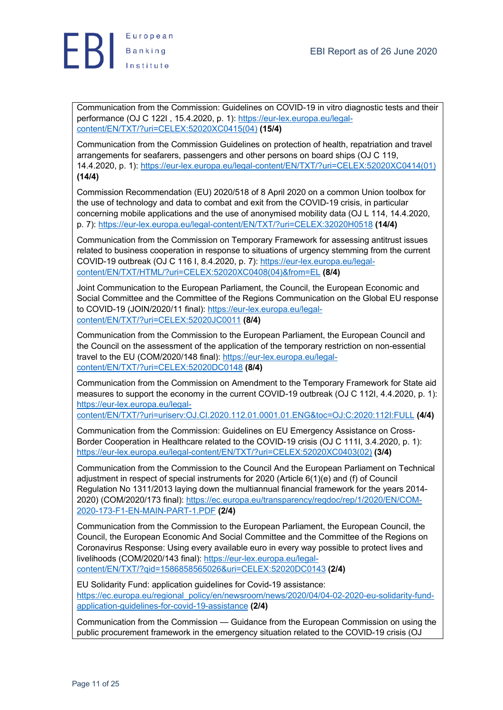

Communication from the Commission: Guidelines on COVID-19 in vitro diagnostic tests and their performance (OJ C 122I , 15.4.2020, p. 1): https://eur-lex.europa.eu/legalcontent/EN/TXT/?uri=CELEX:52020XC0415(04) **(15/4)**

Communication from the Commission Guidelines on protection of health, repatriation and travel arrangements for seafarers, passengers and other persons on board ships (OJ C 119, 14.4.2020, p. 1): https://eur-lex.europa.eu/legal-content/EN/TXT/?uri=CELEX:52020XC0414(01) **(14/4)**

Commission Recommendation (EU) 2020/518 of 8 April 2020 on a common Union toolbox for the use of technology and data to combat and exit from the COVID-19 crisis, in particular concerning mobile applications and the use of anonymised mobility data (OJ L 114, 14.4.2020, p. 7): https://eur-lex.europa.eu/legal-content/EN/TXT/?uri=CELEX:32020H0518 **(14/4)**

Communication from the Commission on Temporary Framework for assessing antitrust issues related to business cooperation in response to situations of urgency stemming from the current COVID-19 outbreak (OJ C 116 I, 8.4.2020, p. 7): https://eur-lex.europa.eu/legalcontent/EN/TXT/HTML/?uri=CELEX:52020XC0408(04)&from=EL **(8/4)**

Joint Communication to the European Parliament, the Council, the European Economic and Social Committee and the Committee of the Regions Communication on the Global EU response to COVID-19 (JOIN/2020/11 final): https://eur-lex.europa.eu/legalcontent/EN/TXT/?uri=CELEX:52020JC0011 **(8/4)**

Communication from the Commission to the European Parliament, the European Council and the Council on the assessment of the application of the temporary restriction on non-essential travel to the EU (COM/2020/148 final): https://eur-lex.europa.eu/legalcontent/EN/TXT/?uri=CELEX:52020DC0148 **(8/4)**

Communication from the Commission on Amendment to the Temporary Framework for State aid measures to support the economy in the current COVID-19 outbreak (OJ C 112I, 4.4.2020, p. 1): https://eur-lex.europa.eu/legal-

content/EN/TXT/?uri=uriserv:OJ.CI.2020.112.01.0001.01.ENG&toc=OJ:C:2020:112I:FULL **(4/4)**

Communication from the Commission: Guidelines on EU Emergency Assistance on Cross-Border Cooperation in Healthcare related to the COVID-19 crisis (OJ C 111I, 3.4.2020, p. 1): https://eur-lex.europa.eu/legal-content/EN/TXT/?uri=CELEX:52020XC0403(02) **(3/4)**

Communication from the Commission to the Council And the European Parliament on Technical adjustment in respect of special instruments for 2020 (Article 6(1)(e) and (f) of Council Regulation No 1311/2013 laying down the multiannual financial framework for the years 2014- 2020) (COM/2020/173 final): https://ec.europa.eu/transparency/regdoc/rep/1/2020/EN/COM-2020-173-F1-EN-MAIN-PART-1.PDF **(2/4)**

Communication from the Commission to the European Parliament, the European Council, the Council, the European Economic And Social Committee and the Committee of the Regions on Coronavirus Response: Using every available euro in every way possible to protect lives and livelihoods (COM/2020/143 final): https://eur-lex.europa.eu/legalcontent/EN/TXT/?qid=1586858565026&uri=CELEX:52020DC0143 **(2/4)**

EU Solidarity Fund: application guidelines for Covid-19 assistance: https://ec.europa.eu/regional\_policy/en/newsroom/news/2020/04/04-02-2020-eu-solidarity-fundapplication-guidelines-for-covid-19-assistance **(2/4)**

Communication from the Commission — Guidance from the European Commission on using the public procurement framework in the emergency situation related to the COVID-19 crisis (OJ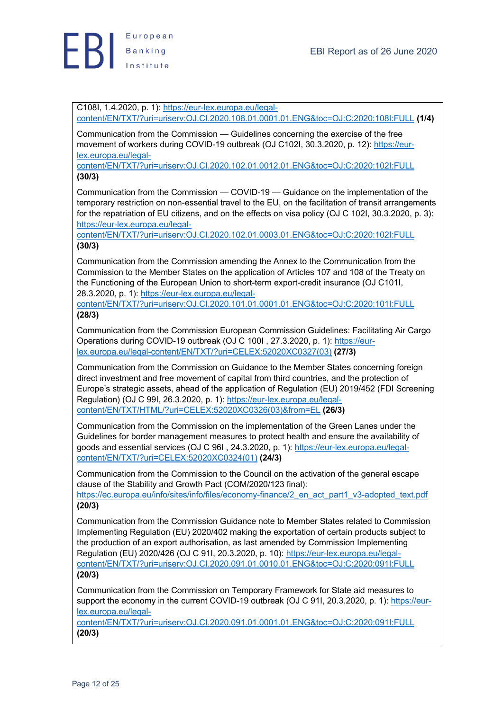C108I, 1.4.2020, p. 1): https://eur-lex.europa.eu/legalcontent/EN/TXT/?uri=uriserv:OJ.CI.2020.108.01.0001.01.ENG&toc=OJ:C:2020:108I:FULL **(1/4)**

Communication from the Commission — Guidelines concerning the exercise of the free movement of workers during COVID-19 outbreak (OJ C102I, 30.3.2020, p. 12): https://eurlex.europa.eu/legal-

content/EN/TXT/?uri=uriserv:OJ.CI.2020.102.01.0012.01.ENG&toc=OJ:C:2020:102I:FULL **(30/3)**

Communication from the Commission — COVID-19 — Guidance on the implementation of the temporary restriction on non-essential travel to the EU, on the facilitation of transit arrangements for the repatriation of EU citizens, and on the effects on visa policy (OJ C 102I, 30.3.2020, p. 3): https://eur-lex.europa.eu/legal-

content/EN/TXT/?uri=uriserv:OJ.CI.2020.102.01.0003.01.ENG&toc=OJ:C:2020:102I:FULL **(30/3)**

Communication from the Commission amending the Annex to the Communication from the Commission to the Member States on the application of Articles 107 and 108 of the Treaty on the Functioning of the European Union to short-term export-credit insurance (OJ C101I, 28.3.2020, p. 1): https://eur-lex.europa.eu/legal-

content/EN/TXT/?uri=uriserv:OJ.CI.2020.101.01.0001.01.ENG&toc=OJ:C:2020:101I:FULL **(28/3)**

Communication from the Commission European Commission Guidelines: Facilitating Air Cargo Operations during COVID-19 outbreak (OJ C 100I , 27.3.2020, p. 1): https://eurlex.europa.eu/legal-content/EN/TXT/?uri=CELEX:52020XC0327(03) **(27/3)**

Communication from the Commission on Guidance to the Member States concerning foreign direct investment and free movement of capital from third countries, and the protection of Europe's strategic assets, ahead of the application of Regulation (EU) 2019/452 (FDI Screening Regulation) (OJ C 99I, 26.3.2020, p. 1): https://eur-lex.europa.eu/legalcontent/EN/TXT/HTML/?uri=CELEX:52020XC0326(03)&from=EL **(26/3)**

Communication from the Commission on the implementation of the Green Lanes under the Guidelines for border management measures to protect health and ensure the availability of goods and essential services (OJ C 96I , 24.3.2020, p. 1): https://eur-lex.europa.eu/legalcontent/EN/TXT/?uri=CELEX:52020XC0324(01) **(24/3)**

Communication from the Commission to the Council on the activation of the general escape clause of the Stability and Growth Pact (COM/2020/123 final):

https://ec.europa.eu/info/sites/info/files/economy-finance/2\_en\_act\_part1\_v3-adopted\_text.pdf **(20/3)**

Communication from the Commission Guidance note to Member States related to Commission Implementing Regulation (EU) 2020/402 making the exportation of certain products subject to the production of an export authorisation, as last amended by Commission Implementing Regulation (EU) 2020/426 (OJ C 91I, 20.3.2020, p. 10): https://eur-lex.europa.eu/legalcontent/EN/TXT/?uri=uriserv:OJ.CI.2020.091.01.0010.01.ENG&toc=OJ:C:2020:091I:FULL **(20/3)**

Communication from the Commission on Temporary Framework for State aid measures to support the economy in the current COVID-19 outbreak (OJ C 911, 20.3.2020, p. 1): https://eurlex.europa.eu/legal-

content/EN/TXT/?uri=uriserv:OJ.CI.2020.091.01.0001.01.ENG&toc=OJ:C:2020:091I:FULL **(20/3)**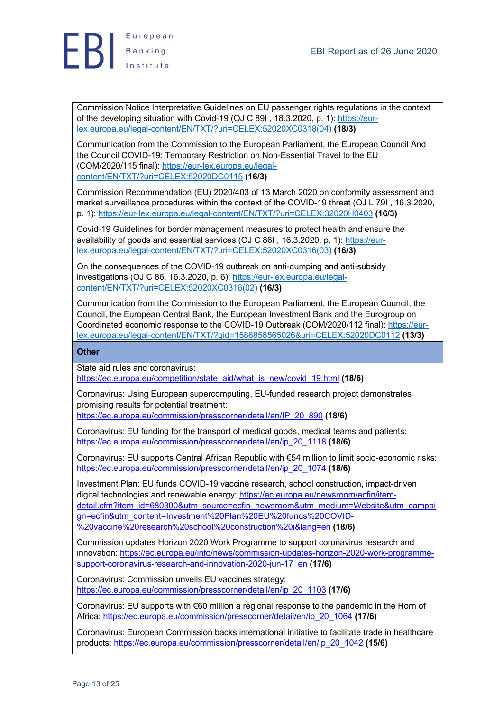

Commission Notice Interpretative Guidelines on EU passenger rights regulations in the context of the developing situation with Covid-19 (OJ C 89I , 18.3.2020, p. 1): https://eurlex.europa.eu/legal-content/EN/TXT/?uri=CELEX:52020XC0318(04) **(18/3)**

Communication from the Commission to the European Parliament, the European Council And the Council COVID-19: Temporary Restriction on Non-Essential Travel to the EU (COM/2020/115 final): https://eur-lex.europa.eu/legalcontent/EN/TXT/?uri=CELEX:52020DC0115 **(16/3)**

Commission Recommendation (EU) 2020/403 of 13 March 2020 on conformity assessment and market surveillance procedures within the context of the COVID-19 threat (OJ L 79I , 16.3.2020, p. 1): https://eur-lex.europa.eu/legal-content/EN/TXT/?uri=CELEX:32020H0403 **(16/3)**

Covid-19 Guidelines for border management measures to protect health and ensure the availability of goods and essential services (OJ C 86I, 16.3.2020, p. 1): https://eurlex.europa.eu/legal-content/EN/TXT/?uri=CELEX:52020XC0316(03) **(16/3)**

On the consequences of the COVID-19 outbreak on anti-dumping and anti-subsidy investigations (OJ C 86, 16.3.2020, p. 6): https://eur-lex.europa.eu/legalcontent/EN/TXT/?uri=CELEX:52020XC0316(02) **(16/3)**

Communication from the Commission to the European Parliament, the European Council, the Council, the European Central Bank, the European Investment Bank and the Eurogroup on Coordinated economic response to the COVID-19 Outbreak (COM/2020/112 final): https://eurlex.europa.eu/legal-content/EN/TXT/?qid=1586858565026&uri=CELEX:52020DC0112 **(13/3)**

#### **Other**

State aid rules and coronavirus:

https://ec.europa.eu/competition/state\_aid/what\_is\_new/covid\_19.html **(18/6)**

Coronavirus: Using European supercomputing, EU-funded research project demonstrates promising results for potential treatment:

https://ec.europa.eu/commission/presscorner/detail/en/IP\_20\_890 **(18/6)**

Coronavirus: EU funding for the transport of medical goods, medical teams and patients: https://ec.europa.eu/commission/presscorner/detail/en/ip\_20\_1118 **(18/6)**

Coronavirus: EU supports Central African Republic with €54 million to limit socio-economic risks: https://ec.europa.eu/commission/presscorner/detail/en/ip\_20\_1074 **(18/6)**

Investment Plan: EU funds COVID-19 vaccine research, school construction, impact-driven digital technologies and renewable energy: https://ec.europa.eu/newsroom/ecfin/itemdetail.cfm?item\_id=680300&utm\_source=ecfin\_newsroom&utm\_medium=Website&utm\_campai gn=ecfin&utm\_content=Investment%20Plan%20EU%20funds%20COVID- %20vaccine%20research%20school%20construction%20i&lang=en **(18/6)**

Commission updates Horizon 2020 Work Programme to support coronavirus research and innovation: https://ec.europa.eu/info/news/commission-updates-horizon-2020-work-programmesupport-coronavirus-research-and-innovation-2020-jun-17\_en **(17/6)**

Coronavirus: Commission unveils EU vaccines strategy: https://ec.europa.eu/commission/presscorner/detail/en/ip\_20\_1103 **(17/6)**

Coronavirus: EU supports with €60 million a regional response to the pandemic in the Horn of Africa: https://ec.europa.eu/commission/presscorner/detail/en/ip\_20\_1064 **(17/6)**

Coronavirus: European Commission backs international initiative to facilitate trade in healthcare products: https://ec.europa.eu/commission/presscorner/detail/en/ip\_20\_1042 **(15/6)**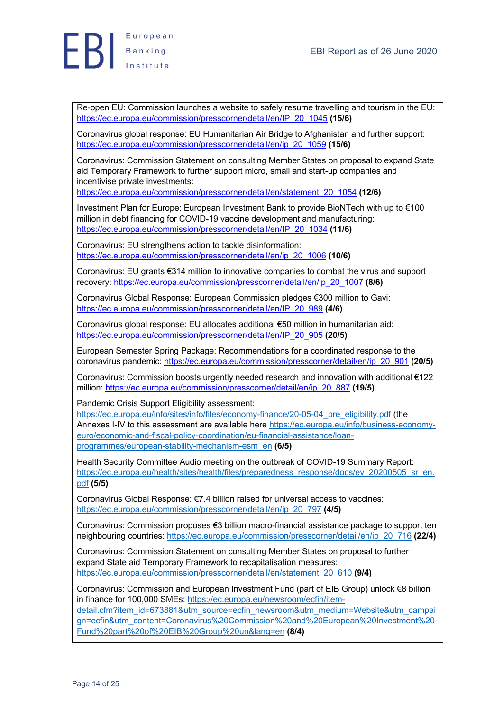

Re-open EU: Commission launches a website to safely resume travelling and tourism in the EU: https://ec.europa.eu/commission/presscorner/detail/en/IP\_20\_1045 **(15/6)**

Coronavirus global response: EU Humanitarian Air Bridge to Afghanistan and further support: https://ec.europa.eu/commission/presscorner/detail/en/ip\_20\_1059 **(15/6)**

Coronavirus: Commission Statement on consulting Member States on proposal to expand State aid Temporary Framework to further support micro, small and start-up companies and incentivise private investments:

https://ec.europa.eu/commission/presscorner/detail/en/statement\_20\_1054 **(12/6)**

Investment Plan for Europe: European Investment Bank to provide BioNTech with up to €100 million in debt financing for COVID-19 vaccine development and manufacturing: https://ec.europa.eu/commission/presscorner/detail/en/IP\_20\_1034 **(11/6)**

Coronavirus: EU strengthens action to tackle disinformation: https://ec.europa.eu/commission/presscorner/detail/en/ip\_20\_1006 **(10/6)**

Coronavirus: EU grants €314 million to innovative companies to combat the virus and support recovery: https://ec.europa.eu/commission/presscorner/detail/en/ip\_20\_1007 **(8/6)**

Coronavirus Global Response: European Commission pledges €300 million to Gavi: https://ec.europa.eu/commission/presscorner/detail/en/IP\_20\_989 **(4/6)**

Coronavirus global response: EU allocates additional €50 million in humanitarian aid: https://ec.europa.eu/commission/presscorner/detail/en/IP\_20\_905 **(20/5)**

European Semester Spring Package: Recommendations for a coordinated response to the coronavirus pandemic: https://ec.europa.eu/commission/presscorner/detail/en/ip\_20\_901 **(20/5)**

Coronavirus: Commission boosts urgently needed research and innovation with additional €122 million: https://ec.europa.eu/commission/presscorner/detail/en/ip\_20\_887 **(19/5)**

Pandemic Crisis Support Eligibility assessment:

https://ec.europa.eu/info/sites/info/files/economy-finance/20-05-04\_pre\_eligibility.pdf (the Annexes I-IV to this assessment are available here https://ec.europa.eu/info/business-economyeuro/economic-and-fiscal-policy-coordination/eu-financial-assistance/loanprogrammes/european-stability-mechanism-esm\_en **(6/5)**

Health Security Committee Audio meeting on the outbreak of COVID-19 Summary Report: https://ec.europa.eu/health/sites/health/files/preparedness\_response/docs/ev\_20200505\_sr\_en. pdf **(5/5)**

Coronavirus Global Response: €7.4 billion raised for universal access to vaccines: https://ec.europa.eu/commission/presscorner/detail/en/ip\_20\_797 **(4/5)**

Coronavirus: Commission proposes €3 billion macro-financial assistance package to support ten neighbouring countries: https://ec.europa.eu/commission/presscorner/detail/en/ip\_20\_716 **(22/4)**

Coronavirus: Commission Statement on consulting Member States on proposal to further expand State aid Temporary Framework to recapitalisation measures: https://ec.europa.eu/commission/presscorner/detail/en/statement\_20\_610 **(9/4)**

Coronavirus: Commission and European Investment Fund (part of EIB Group) unlock €8 billion in finance for 100,000 SMEs: https://ec.europa.eu/newsroom/ecfin/itemdetail.cfm?item\_id=673881&utm\_source=ecfin\_newsroom&utm\_medium=Website&utm\_campai

gn=ecfin&utm\_content=Coronavirus%20Commission%20and%20European%20Investment%20 Fund%20part%20of%20EIB%20Group%20un&lang=en **(8/4)**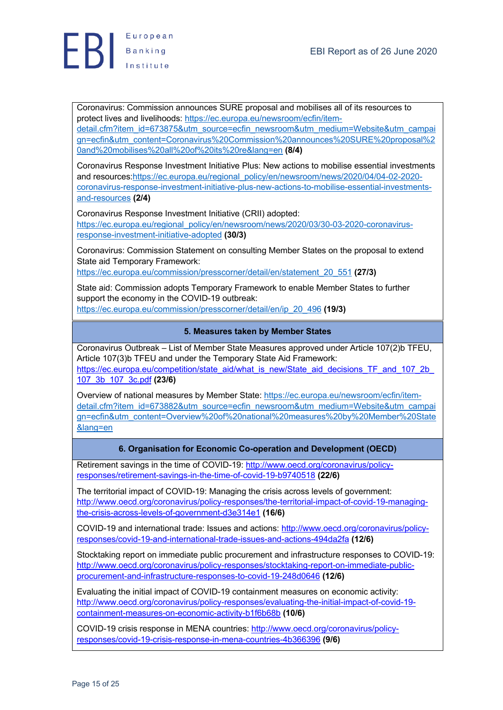Coronavirus: Commission announces SURE proposal and mobilises all of its resources to protect lives and livelihoods: https://ec.europa.eu/newsroom/ecfin/itemdetail.cfm?item\_id=673875&utm\_source=ecfin\_newsroom&utm\_medium=Website&utm\_campai gn=ecfin&utm\_content=Coronavirus%20Commission%20announces%20SURE%20proposal%2 0and%20mobilises%20all%20of%20its%20re&lang=en **(8/4)**

Coronavirus Response Investment Initiative Plus: New actions to mobilise essential investments and resources:https://ec.europa.eu/regional\_policy/en/newsroom/news/2020/04/04-02-2020coronavirus-response-investment-initiative-plus-new-actions-to-mobilise-essential-investmentsand-resources **(2/4)**

Coronavirus Response Investment Initiative (CRII) adopted: https://ec.europa.eu/regional\_policy/en/newsroom/news/2020/03/30-03-2020-coronavirusresponse-investment-initiative-adopted **(30/3)**

Coronavirus: Commission Statement on consulting Member States on the proposal to extend State aid Temporary Framework:

https://ec.europa.eu/commission/presscorner/detail/en/statement\_20\_551 **(27/3)**

State aid: Commission adopts Temporary Framework to enable Member States to further support the economy in the COVID-19 outbreak: https://ec.europa.eu/commission/presscorner/detail/en/ip\_20\_496 **(19/3)**

# **5. Measures taken by Member States**

Coronavirus Outbreak – List of Member State Measures approved under Article 107(2)b TFEU, Article 107(3)b TFEU and under the Temporary State Aid Framework: https://ec.europa.eu/competition/state\_aid/what\_is\_new/State\_aid\_decisions\_TF\_and\_107\_2b\_ 107\_3b\_107\_3c.pdf **(23/6)**

Overview of national measures by Member State: https://ec.europa.eu/newsroom/ecfin/itemdetail.cfm?item\_id=673882&utm\_source=ecfin\_newsroom&utm\_medium=Website&utm\_campai gn=ecfin&utm\_content=Overview%20of%20national%20measures%20by%20Member%20State &lang=en

## **6. Organisation for Economic Co-operation and Development (OECD)**

Retirement savings in the time of COVID-19: http://www.oecd.org/coronavirus/policyresponses/retirement-savings-in-the-time-of-covid-19-b9740518 **(22/6)**

The territorial impact of COVID-19: Managing the crisis across levels of government: http://www.oecd.org/coronavirus/policy-responses/the-territorial-impact-of-covid-19-managingthe-crisis-across-levels-of-government-d3e314e1 **(16/6)**

COVID-19 and international trade: Issues and actions: http://www.oecd.org/coronavirus/policyresponses/covid-19-and-international-trade-issues-and-actions-494da2fa **(12/6)**

Stocktaking report on immediate public procurement and infrastructure responses to COVID-19: http://www.oecd.org/coronavirus/policy-responses/stocktaking-report-on-immediate-publicprocurement-and-infrastructure-responses-to-covid-19-248d0646 **(12/6)**

Evaluating the initial impact of COVID-19 containment measures on economic activity: http://www.oecd.org/coronavirus/policy-responses/evaluating-the-initial-impact-of-covid-19 containment-measures-on-economic-activity-b1f6b68b **(10/6)**

COVID-19 crisis response in MENA countries: http://www.oecd.org/coronavirus/policyresponses/covid-19-crisis-response-in-mena-countries-4b366396 **(9/6)**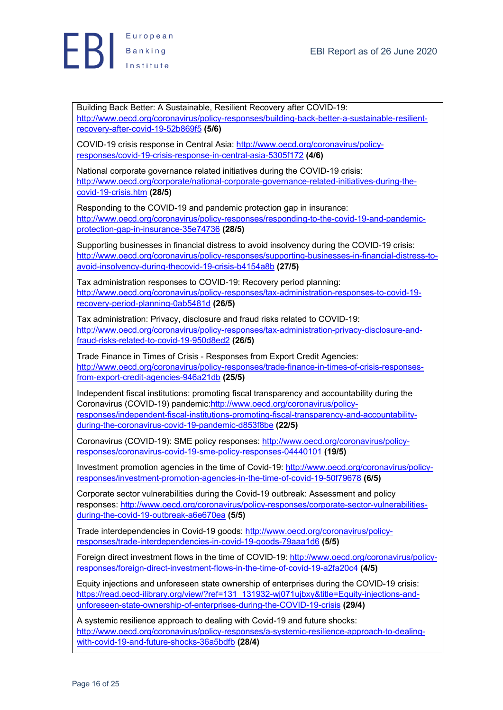

Building Back Better: A Sustainable, Resilient Recovery after COVID-19: http://www.oecd.org/coronavirus/policy-responses/building-back-better-a-sustainable-resilientrecovery-after-covid-19-52b869f5 **(5/6)**

COVID-19 crisis response in Central Asia: http://www.oecd.org/coronavirus/policyresponses/covid-19-crisis-response-in-central-asia-5305f172 **(4/6)**

National corporate governance related initiatives during the COVID-19 crisis: http://www.oecd.org/corporate/national-corporate-governance-related-initiatives-during-thecovid-19-crisis.htm **(28/5)**

Responding to the COVID-19 and pandemic protection gap in insurance: http://www.oecd.org/coronavirus/policy-responses/responding-to-the-covid-19-and-pandemicprotection-gap-in-insurance-35e74736 **(28/5)**

Supporting businesses in financial distress to avoid insolvency during the COVID-19 crisis: http://www.oecd.org/coronavirus/policy-responses/supporting-businesses-in-financial-distress-toavoid-insolvency-during-thecovid-19-crisis-b4154a8b **(27/5)**

Tax administration responses to COVID-19: Recovery period planning: http://www.oecd.org/coronavirus/policy-responses/tax-administration-responses-to-covid-19 recovery-period-planning-0ab5481d **(26/5)**

Tax administration: Privacy, disclosure and fraud risks related to COVID-19: http://www.oecd.org/coronavirus/policy-responses/tax-administration-privacy-disclosure-andfraud-risks-related-to-covid-19-950d8ed2 **(26/5)**

Trade Finance in Times of Crisis - Responses from Export Credit Agencies: http://www.oecd.org/coronavirus/policy-responses/trade-finance-in-times-of-crisis-responsesfrom-export-credit-agencies-946a21db **(25/5)**

Independent fiscal institutions: promoting fiscal transparency and accountability during the Coronavirus (COVID-19) pandemic:http://www.oecd.org/coronavirus/policyresponses/independent-fiscal-institutions-promoting-fiscal-transparency-and-accountabilityduring-the-coronavirus-covid-19-pandemic-d853f8be **(22/5)**

Coronavirus (COVID-19): SME policy responses: http://www.oecd.org/coronavirus/policyresponses/coronavirus-covid-19-sme-policy-responses-04440101 **(19/5)**

Investment promotion agencies in the time of Covid-19: http://www.oecd.org/coronavirus/policyresponses/investment-promotion-agencies-in-the-time-of-covid-19-50f79678 **(6/5)**

Corporate sector vulnerabilities during the Covid-19 outbreak: Assessment and policy responses: http://www.oecd.org/coronavirus/policy-responses/corporate-sector-vulnerabilitiesduring-the-covid-19-outbreak-a6e670ea **(5/5)**

Trade interdependencies in Covid-19 goods: http://www.oecd.org/coronavirus/policyresponses/trade-interdependencies-in-covid-19-goods-79aaa1d6 **(5/5)**

Foreign direct investment flows in the time of COVID-19: http://www.oecd.org/coronavirus/policyresponses/foreign-direct-investment-flows-in-the-time-of-covid-19-a2fa20c4 **(4/5)**

Equity injections and unforeseen state ownership of enterprises during the COVID-19 crisis: https://read.oecd-ilibrary.org/view/?ref=131\_131932-wj071ujbxy&title=Equity-injections-andunforeseen-state-ownership-of-enterprises-during-the-COVID-19-crisis **(29/4)**

A systemic resilience approach to dealing with Covid-19 and future shocks: http://www.oecd.org/coronavirus/policy-responses/a-systemic-resilience-approach-to-dealingwith-covid-19-and-future-shocks-36a5bdfb **(28/4)**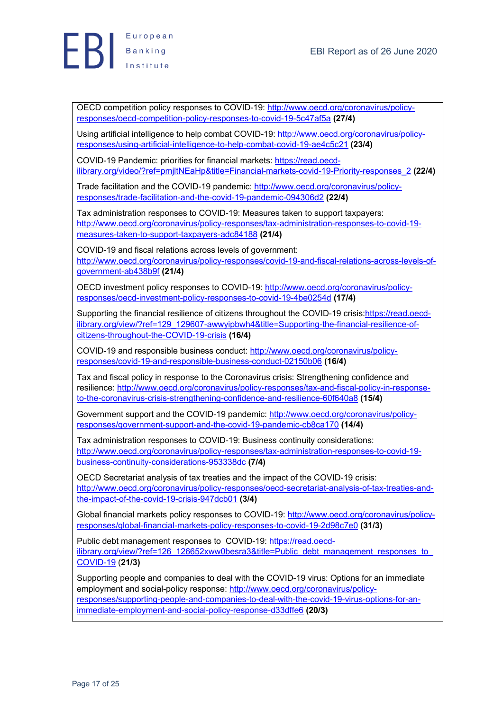

OECD competition policy responses to COVID-19: http://www.oecd.org/coronavirus/policyresponses/oecd-competition-policy-responses-to-covid-19-5c47af5a **(27/4)**

Using artificial intelligence to help combat COVID-19: http://www.oecd.org/coronavirus/policyresponses/using-artificial-intelligence-to-help-combat-covid-19-ae4c5c21 **(23/4)**

COVID-19 Pandemic: priorities for financial markets: https://read.oecdilibrary.org/video/?ref=pmjltNEaHp&title=Financial-markets-covid-19-Priority-responses\_2 **(22/4)**

Trade facilitation and the COVID-19 pandemic: http://www.oecd.org/coronavirus/policyresponses/trade-facilitation-and-the-covid-19-pandemic-094306d2 **(22/4)**

Tax administration responses to COVID-19: Measures taken to support taxpayers: http://www.oecd.org/coronavirus/policy-responses/tax-administration-responses-to-covid-19 measures-taken-to-support-taxpayers-adc84188 **(21/4)**

COVID-19 and fiscal relations across levels of government: http://www.oecd.org/coronavirus/policy-responses/covid-19-and-fiscal-relations-across-levels-ofgovernment-ab438b9f **(21/4)**

OECD investment policy responses to COVID-19: http://www.oecd.org/coronavirus/policyresponses/oecd-investment-policy-responses-to-covid-19-4be0254d **(17/4)**

Supporting the financial resilience of citizens throughout the COVID-19 crisis:https://read.oecdilibrary.org/view/?ref=129\_129607-awwyipbwh4&title=Supporting-the-financial-resilience-ofcitizens-throughout-the-COVID-19-crisis **(16/4)**

COVID-19 and responsible business conduct: http://www.oecd.org/coronavirus/policyresponses/covid-19-and-responsible-business-conduct-02150b06 **(16/4)**

Tax and fiscal policy in response to the Coronavirus crisis: Strengthening confidence and resilience: http://www.oecd.org/coronavirus/policy-responses/tax-and-fiscal-policy-in-responseto-the-coronavirus-crisis-strengthening-confidence-and-resilience-60f640a8 **(15/4)**

Government support and the COVID-19 pandemic: http://www.oecd.org/coronavirus/policyresponses/government-support-and-the-covid-19-pandemic-cb8ca170 **(14/4)**

Tax administration responses to COVID-19: Business continuity considerations: http://www.oecd.org/coronavirus/policy-responses/tax-administration-responses-to-covid-19 business-continuity-considerations-953338dc **(7/4)**

OECD Secretariat analysis of tax treaties and the impact of the COVID-19 crisis: http://www.oecd.org/coronavirus/policy-responses/oecd-secretariat-analysis-of-tax-treaties-andthe-impact-of-the-covid-19-crisis-947dcb01 **(3/4)**

Global financial markets policy responses to COVID-19: http://www.oecd.org/coronavirus/policyresponses/global-financial-markets-policy-responses-to-covid-19-2d98c7e0 **(31/3)**

Public debt management responses to COVID-19: https://read.oecdilibrary.org/view/?ref=126\_126652xww0besra3&title=Public\_debt\_management\_responses\_to COVID-19 (**21/3)**

Supporting people and companies to deal with the COVID-19 virus: Options for an immediate employment and social-policy response: http://www.oecd.org/coronavirus/policyresponses/supporting-people-and-companies-to-deal-with-the-covid-19-virus-options-for-animmediate-employment-and-social-policy-response-d33dffe6 **(20/3)**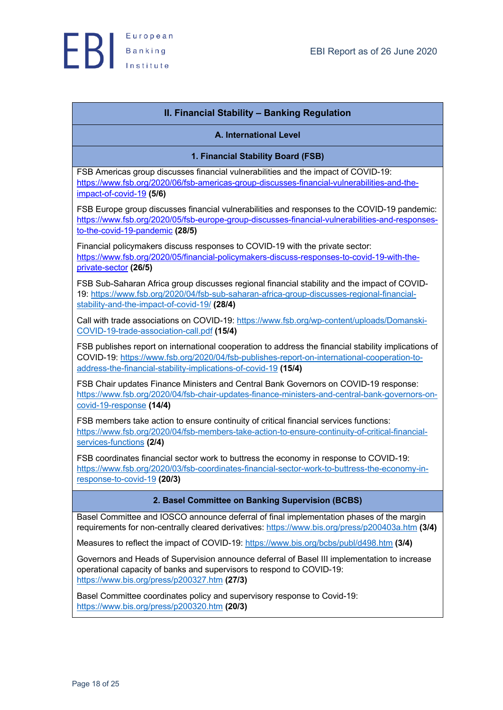

# **II. Financial Stability – Banking Regulation**

#### **A. International Level**

**1. Financial Stability Board (FSB)**

FSB Americas group discusses financial vulnerabilities and the impact of COVID-19: https://www.fsb.org/2020/06/fsb-americas-group-discusses-financial-vulnerabilities-and-theimpact-of-covid-19 **(5/6)**

FSB Europe group discusses financial vulnerabilities and responses to the COVID-19 pandemic: https://www.fsb.org/2020/05/fsb-europe-group-discusses-financial-vulnerabilities-and-responsesto-the-covid-19-pandemic **(28/5)**

Financial policymakers discuss responses to COVID-19 with the private sector: https://www.fsb.org/2020/05/financial-policymakers-discuss-responses-to-covid-19-with-theprivate-sector **(26/5)**

FSB Sub-Saharan Africa group discusses regional financial stability and the impact of COVID-19: https://www.fsb.org/2020/04/fsb-sub-saharan-africa-group-discusses-regional-financialstability-and-the-impact-of-covid-19/ **(28/4)**

Call with trade associations on COVID-19: https://www.fsb.org/wp-content/uploads/Domanski-COVID-19-trade-association-call.pdf **(15/4)**

FSB publishes report on international cooperation to address the financial stability implications of COVID-19: https://www.fsb.org/2020/04/fsb-publishes-report-on-international-cooperation-toaddress-the-financial-stability-implications-of-covid-19 **(15/4)**

FSB Chair updates Finance Ministers and Central Bank Governors on COVID-19 response: https://www.fsb.org/2020/04/fsb-chair-updates-finance-ministers-and-central-bank-governors-oncovid-19-response **(14/4)**

FSB members take action to ensure continuity of critical financial services functions: https://www.fsb.org/2020/04/fsb-members-take-action-to-ensure-continuity-of-critical-financialservices-functions **(2/4)**

FSB coordinates financial sector work to buttress the economy in response to COVID-19: https://www.fsb.org/2020/03/fsb-coordinates-financial-sector-work-to-buttress-the-economy-inresponse-to-covid-19 **(20/3)**

## **2. Basel Committee on Banking Supervision (BCBS)**

Basel Committee and IOSCO announce deferral of final implementation phases of the margin requirements for non-centrally cleared derivatives: https://www.bis.org/press/p200403a.htm **(3/4)**

Measures to reflect the impact of COVID-19: https://www.bis.org/bcbs/publ/d498.htm **(3/4)**

Governors and Heads of Supervision announce deferral of Basel III implementation to increase operational capacity of banks and supervisors to respond to CΟVID-19: https://www.bis.org/press/p200327.htm **(27/3)**

Basel Committee coordinates policy and supervisory response to Covid-19: https://www.bis.org/press/p200320.htm **(20/3)**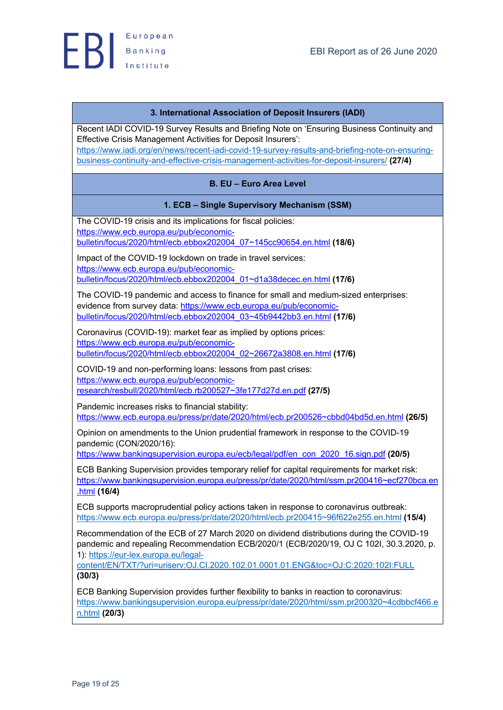

## **3. International Association of Deposit Insurers (IADI)**

Recent IADI COVID-19 Survey Results and Briefing Note on 'Ensuring Business Continuity and Effective Crisis Management Activities for Deposit Insurers': https://www.iadi.org/en/news/recent-iadi-covid-19-survey-results-and-briefing-note-on-ensuringbusiness-continuity-and-effective-crisis-management-activities-for-deposit-insurers/ **(27/4)**

# **B. EU – Euro Area Level**

## **1. ECB – Single Supervisory Mechanism (SSM)**

The COVID-19 crisis and its implications for fiscal policies: https://www.ecb.europa.eu/pub/economicbulletin/focus/2020/html/ecb.ebbox202004\_07~145cc90654.en.html **(18/6)**

Impact of the COVID-19 lockdown on trade in travel services: https://www.ecb.europa.eu/pub/economicbulletin/focus/2020/html/ecb.ebbox202004\_01~d1a38decec.en.html **(17/6)**

The COVID-19 pandemic and access to finance for small and medium-sized enterprises: evidence from survey data: https://www.ecb.europa.eu/pub/economicbulletin/focus/2020/html/ecb.ebbox202004\_03~45b9442bb3.en.html **(17/6)**

Coronavirus (COVID-19): market fear as implied by options prices: https://www.ecb.europa.eu/pub/economicbulletin/focus/2020/html/ecb.ebbox202004\_02~26672a3808.en.html **(17/6)**

COVID-19 and non-performing loans: lessons from past crises: https://www.ecb.europa.eu/pub/economicresearch/resbull/2020/html/ecb.rb200527~3fe177d27d.en.pdf **(27/5)**

Pandemic increases risks to financial stability: https://www.ecb.europa.eu/press/pr/date/2020/html/ecb.pr200526~cbbd04bd5d.en.html **(26/5)**

Opinion on amendments to the Union prudential framework in response to the COVID-19 pandemic (CON/2020/16):

https://www.bankingsupervision.europa.eu/ecb/legal/pdf/en\_con\_2020\_16.sign.pdf **(20/5)**

ECB Banking Supervision provides temporary relief for capital requirements for market risk: https://www.bankingsupervision.europa.eu/press/pr/date/2020/html/ssm.pr200416~ecf270bca.en .html **(16/4)**

ECB supports macroprudential policy actions taken in response to coronavirus outbreak: https://www.ecb.europa.eu/press/pr/date/2020/html/ecb.pr200415~96f622e255.en.html **(15/4)**

Recommendation of the ECB of 27 March 2020 on dividend distributions during the COVID-19 pandemic and repealing Recommendation ECB/2020/1 (ECB/2020/19, OJ C 102I, 30.3.2020, p. 1): https://eur-lex.europa.eu/legal-

content/EN/TXT/?uri=uriserv:OJ.CI.2020.102.01.0001.01.ENG&toc=OJ:C:2020:102I:FULL **(30/3)**

ECB Banking Supervision provides further flexibility to banks in reaction to coronavirus: https://www.bankingsupervision.europa.eu/press/pr/date/2020/html/ssm.pr200320~4cdbbcf466.e n.html **(20/3)**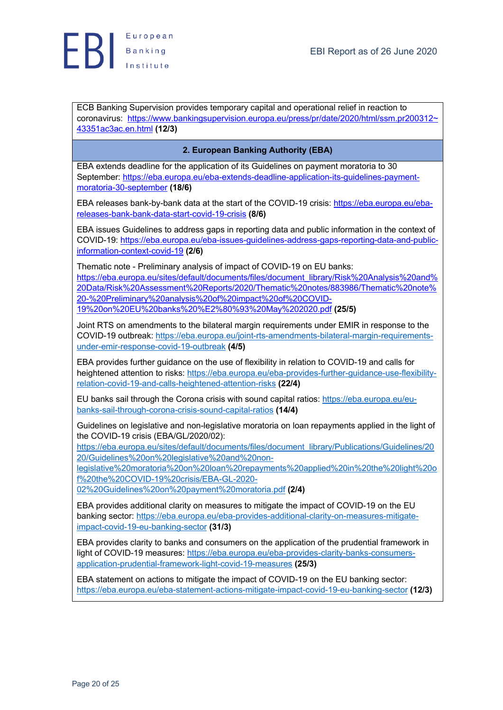

ECB Banking Supervision provides temporary capital and operational relief in reaction to coronavirus: https://www.bankingsupervision.europa.eu/press/pr/date/2020/html/ssm.pr200312~ 43351ac3ac.en.html **(12/3)**

# **2. European Banking Authority (EBA)**

EBA extends deadline for the application of its Guidelines on payment moratoria to 30 September: https://eba.europa.eu/eba-extends-deadline-application-its-guidelines-paymentmoratoria-30-september **(18/6)**

EBA releases bank-by-bank data at the start of the COVID-19 crisis: https://eba.europa.eu/ebareleases-bank-bank-data-start-covid-19-crisis **(8/6)**

EBA issues Guidelines to address gaps in reporting data and public information in the context of COVID-19: https://eba.europa.eu/eba-issues-guidelines-address-gaps-reporting-data-and-publicinformation-context-covid-19 **(2/6)**

Thematic note - Preliminary analysis of impact of COVID-19 on EU banks: https://eba.europa.eu/sites/default/documents/files/document\_library/Risk%20Analysis%20and% 20Data/Risk%20Assessment%20Reports/2020/Thematic%20notes/883986/Thematic%20note% 20-%20Preliminary%20analysis%20of%20impact%20of%20COVID-19%20on%20EU%20banks%20%E2%80%93%20May%202020.pdf **(25/5)**

Joint RTS on amendments to the bilateral margin requirements under EMIR in response to the COVID-19 outbreak: https://eba.europa.eu/joint-rts-amendments-bilateral-margin-requirementsunder-emir-response-covid-19-outbreak **(4/5)**

EBA provides further guidance on the use of flexibility in relation to COVID-19 and calls for heightened attention to risks: https://eba.europa.eu/eba-provides-further-guidance-use-flexibilityrelation-covid-19-and-calls-heightened-attention-risks **(22/4)**

EU banks sail through the Corona crisis with sound capital ratios: https://eba.europa.eu/eubanks-sail-through-corona-crisis-sound-capital-ratios **(14/4)**

Guidelines on legislative and non-legislative moratoria on loan repayments applied in the light of the COVID-19 crisis (EBA/GL/2020/02):

https://eba.europa.eu/sites/default/documents/files/document\_library/Publications/Guidelines/20 20/Guidelines%20on%20legislative%20and%20non-

legislative%20moratoria%20on%20loan%20repayments%20applied%20in%20the%20light%20o f%20the%20COVID-19%20crisis/EBA-GL-2020-

02%20Guidelines%20on%20payment%20moratoria.pdf **(2/4)**

EBA provides additional clarity on measures to mitigate the impact of COVID-19 on the EU banking sector: https://eba.europa.eu/eba-provides-additional-clarity-on-measures-mitigateimpact-covid-19-eu-banking-sector **(31/3)**

EBA provides clarity to banks and consumers on the application of the prudential framework in light of COVID-19 measures: https://eba.europa.eu/eba-provides-clarity-banks-consumersapplication-prudential-framework-light-covid-19-measures **(25/3)**

EBA statement on actions to mitigate the impact of COVID-19 on the EU banking sector: https://eba.europa.eu/eba-statement-actions-mitigate-impact-covid-19-eu-banking-sector **(12/3)**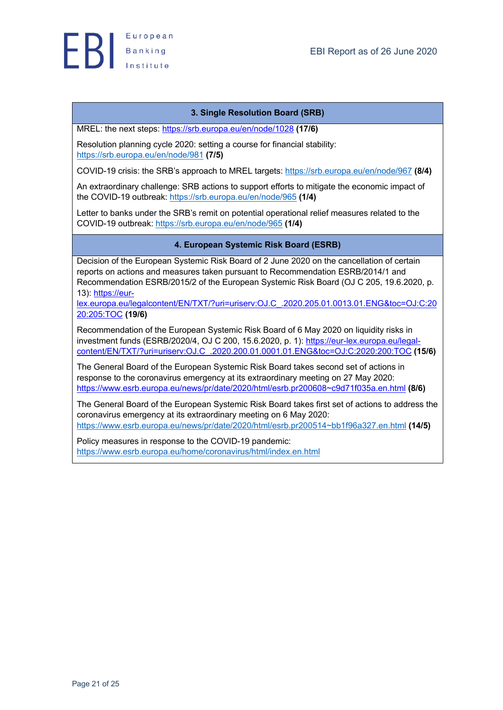

# **3. Single Resolution Board (SRB)**

MREL: the next steps: https://srb.europa.eu/en/node/1028 **(17/6)**

Resolution planning cycle 2020: setting a course for financial stability: https://srb.europa.eu/en/node/981 **(7/5)**

COVID-19 crisis: the SRB's approach to MREL targets: https://srb.europa.eu/en/node/967 **(8/4)**

An extraordinary challenge: SRB actions to support efforts to mitigate the economic impact of the COVID-19 outbreak: https://srb.europa.eu/en/node/965 **(1/4)**

Letter to banks under the SRB's remit on potential operational relief measures related to the COVID-19 outbreak: https://srb.europa.eu/en/node/965 **(1/4)**

**4. European Systemic Risk Board (ESRB)**

Decision of the European Systemic Risk Board of 2 June 2020 on the cancellation of certain reports on actions and measures taken pursuant to Recommendation ESRB/2014/1 and Recommendation ESRB/2015/2 of the European Systemic Risk Board (OJ C 205, 19.6.2020, p. 13): https://eur-

lex.europa.eu/legalcontent/EN/TXT/?uri=uriserv:OJ.C\_.2020.205.01.0013.01.ENG&toc=OJ:C:20 20:205:TOC **(19/6)**

Recommendation of the European Systemic Risk Board of 6 May 2020 on liquidity risks in investment funds (ESRB/2020/4, OJ C 200, 15.6.2020, p. 1): https://eur-lex.europa.eu/legalcontent/EN/TXT/?uri=uriserv:OJ.C\_.2020.200.01.0001.01.ENG&toc=OJ:C:2020:200:TOC **(15/6)**

The General Board of the European Systemic Risk Board takes second set of actions in response to the coronavirus emergency at its extraordinary meeting on 27 May 2020: https://www.esrb.europa.eu/news/pr/date/2020/html/esrb.pr200608~c9d71f035a.en.html **(8/6)**

The General Board of the European Systemic Risk Board takes first set of actions to address the coronavirus emergency at its extraordinary meeting on 6 May 2020: https://www.esrb.europa.eu/news/pr/date/2020/html/esrb.pr200514~bb1f96a327.en.html **(14/5)**

Policy measures in response to the COVID-19 pandemic: https://www.esrb.europa.eu/home/coronavirus/html/index.en.html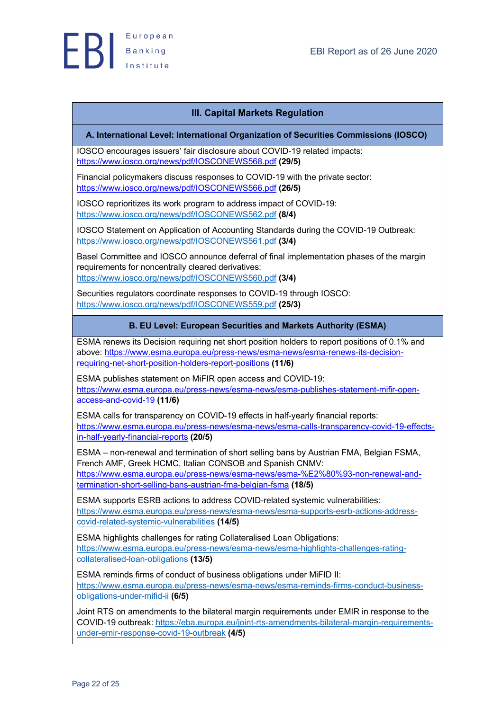

# **III. Capital Markets Regulation**

## **A. International Level: International Organization of Securities Commissions (IOSCO)**

IOSCO encourages issuers' fair disclosure about COVID-19 related impacts: https://www.iosco.org/news/pdf/IOSCONEWS568.pdf **(29/5)**

Financial policymakers discuss responses to COVID-19 with the private sector: https://www.iosco.org/news/pdf/IOSCONEWS566.pdf **(26/5)**

IOSCO reprioritizes its work program to address impact of COVID-19: https://www.iosco.org/news/pdf/IOSCONEWS562.pdf **(8/4)**

IOSCO Statement on Application of Accounting Standards during the COVID-19 Outbreak: https://www.iosco.org/news/pdf/IOSCONEWS561.pdf **(3/4)**

Basel Committee and IOSCO announce deferral of final implementation phases of the margin requirements for noncentrally cleared derivatives: https://www.iosco.org/news/pdf/IOSCONEWS560.pdf **(3/4)**

Securities regulators coordinate responses to COVID-19 through IOSCO: https://www.iosco.org/news/pdf/IOSCONEWS559.pdf **(25/3)**

## **B. EU Level: European Securities and Markets Authority (ESMA)**

ESMA renews its Decision requiring net short position holders to report positions of 0.1% and above: https://www.esma.europa.eu/press-news/esma-news/esma-renews-its-decisionrequiring-net-short-position-holders-report-positions **(11/6)**

ESMA publishes statement on MiFIR open access and COVID-19: https://www.esma.europa.eu/press-news/esma-news/esma-publishes-statement-mifir-openaccess-and-covid-19 **(11/6)**

ESMA calls for transparency on COVID-19 effects in half-yearly financial reports: https://www.esma.europa.eu/press-news/esma-news/esma-calls-transparency-covid-19-effectsin-half-yearly-financial-reports **(20/5)**

ESMA – non-renewal and termination of short selling bans by Austrian FMA, Belgian FSMA, French AMF, Greek HCMC, Italian CONSOB and Spanish CNMV: https://www.esma.europa.eu/press-news/esma-news/esma-%E2%80%93-non-renewal-andtermination-short-selling-bans-austrian-fma-belgian-fsma **(18/5)**

ESMA supports ESRB actions to address COVID-related systemic vulnerabilities: https://www.esma.europa.eu/press-news/esma-news/esma-supports-esrb-actions-addresscovid-related-systemic-vulnerabilities **(14/5)**

ESMA highlights challenges for rating Collateralised Loan Obligations: https://www.esma.europa.eu/press-news/esma-news/esma-highlights-challenges-ratingcollateralised-loan-obligations **(13/5)**

ESMA reminds firms of conduct of business obligations under MiFID II: https://www.esma.europa.eu/press-news/esma-news/esma-reminds-firms-conduct-businessobligations-under-mifid-ii **(6/5)**

Joint RTS on amendments to the bilateral margin requirements under EMIR in response to the COVID-19 outbreak: https://eba.europa.eu/joint-rts-amendments-bilateral-margin-requirementsunder-emir-response-covid-19-outbreak **(4/5)**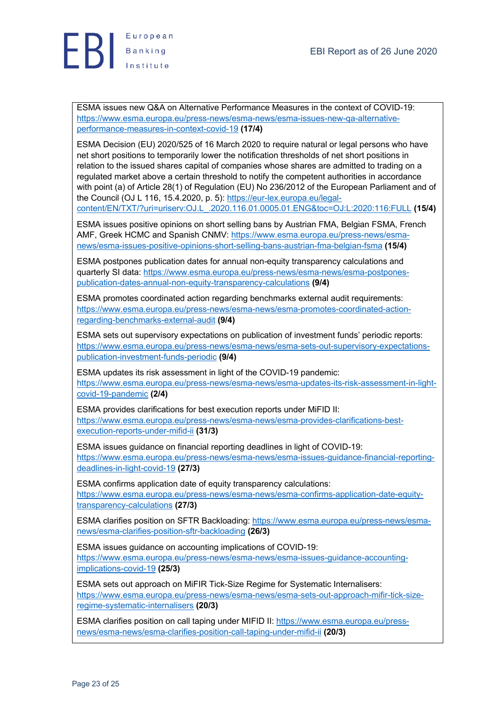

ESMA issues new Q&A on Alternative Performance Measures in the context of COVID-19: https://www.esma.europa.eu/press-news/esma-news/esma-issues-new-qa-alternativeperformance-measures-in-context-covid-19 **(17/4)**

ESMA Decision (EU) 2020/525 of 16 March 2020 to require natural or legal persons who have net short positions to temporarily lower the notification thresholds of net short positions in relation to the issued shares capital of companies whose shares are admitted to trading on a regulated market above a certain threshold to notify the competent authorities in accordance with point (a) of Article 28(1) of Regulation (EU) No 236/2012 of the European Parliament and of the Council (OJ L 116, 15.4.2020, p. 5): https://eur-lex.europa.eu/legalcontent/EN/TXT/?uri=uriserv:OJ.L\_.2020.116.01.0005.01.ENG&toc=OJ:L:2020:116:FULL **(15/4)**

ESMA issues positive opinions on short selling bans by Austrian FMA, Belgian FSMA, French AMF, Greek HCMC and Spanish CNMV: https://www.esma.europa.eu/press-news/esmanews/esma-issues-positive-opinions-short-selling-bans-austrian-fma-belgian-fsma **(15/4)**

ESMA postpones publication dates for annual non-equity transparency calculations and quarterly SI data: https://www.esma.europa.eu/press-news/esma-news/esma-postponespublication-dates-annual-non-equity-transparency-calculations **(9/4)**

ESMA promotes coordinated action regarding benchmarks external audit requirements: https://www.esma.europa.eu/press-news/esma-news/esma-promotes-coordinated-actionregarding-benchmarks-external-audit **(9/4)**

ESMA sets out supervisory expectations on publication of investment funds' periodic reports: https://www.esma.europa.eu/press-news/esma-news/esma-sets-out-supervisory-expectationspublication-investment-funds-periodic **(9/4)**

ESMA updates its risk assessment in light of the COVID-19 pandemic: https://www.esma.europa.eu/press-news/esma-news/esma-updates-its-risk-assessment-in-lightcovid-19-pandemic **(2/4)**

ESMA provides clarifications for best execution reports under MiFID II: https://www.esma.europa.eu/press-news/esma-news/esma-provides-clarifications-bestexecution-reports-under-mifid-ii **(31/3)**

ESMA issues guidance on financial reporting deadlines in light of COVID-19: https://www.esma.europa.eu/press-news/esma-news/esma-issues-guidance-financial-reportingdeadlines-in-light-covid-19 **(27/3)**

ESMA confirms application date of equity transparency calculations: https://www.esma.europa.eu/press-news/esma-news/esma-confirms-application-date-equitytransparency-calculations **(27/3)**

ESMA clarifies position on SFTR Backloading: https://www.esma.europa.eu/press-news/esmanews/esma-clarifies-position-sftr-backloading **(26/3)**

ESMA issues guidance on accounting implications of COVID-19: https://www.esma.europa.eu/press-news/esma-news/esma-issues-guidance-accountingimplications-covid-19 **(25/3)**

ESMA sets out approach on MiFIR Tick-Size Regime for Systematic Internalisers: https://www.esma.europa.eu/press-news/esma-news/esma-sets-out-approach-mifir-tick-sizeregime-systematic-internalisers **(20/3)**

ESMA clarifies position on call taping under MIFID II: https://www.esma.europa.eu/pressnews/esma-news/esma-clarifies-position-call-taping-under-mifid-ii **(20/3)**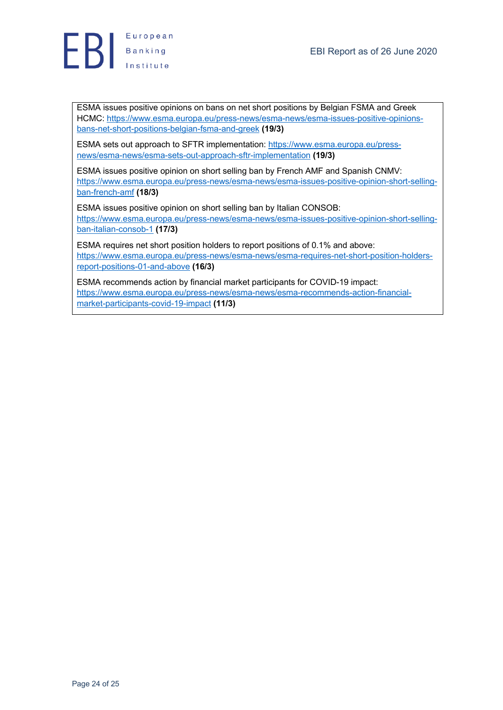

ESMA issues positive opinions on bans on net short positions by Belgian FSMA and Greek HCMC: https://www.esma.europa.eu/press-news/esma-news/esma-issues-positive-opinionsbans-net-short-positions-belgian-fsma-and-greek **(19/3)**

ESMA sets out approach to SFTR implementation: https://www.esma.europa.eu/pressnews/esma-news/esma-sets-out-approach-sftr-implementation **(19/3)**

ESMA issues positive opinion on short selling ban by French AMF and Spanish CNMV: https://www.esma.europa.eu/press-news/esma-news/esma-issues-positive-opinion-short-sellingban-french-amf **(18/3)**

ESMA issues positive opinion on short selling ban by Italian CONSOB: https://www.esma.europa.eu/press-news/esma-news/esma-issues-positive-opinion-short-sellingban-italian-consob-1 **(17/3)**

ESMA requires net short position holders to report positions of 0.1% and above: https://www.esma.europa.eu/press-news/esma-news/esma-requires-net-short-position-holdersreport-positions-01-and-above **(16/3)**

ESMA recommends action by financial market participants for COVID-19 impact: https://www.esma.europa.eu/press-news/esma-news/esma-recommends-action-financialmarket-participants-covid-19-impact **(11/3)**